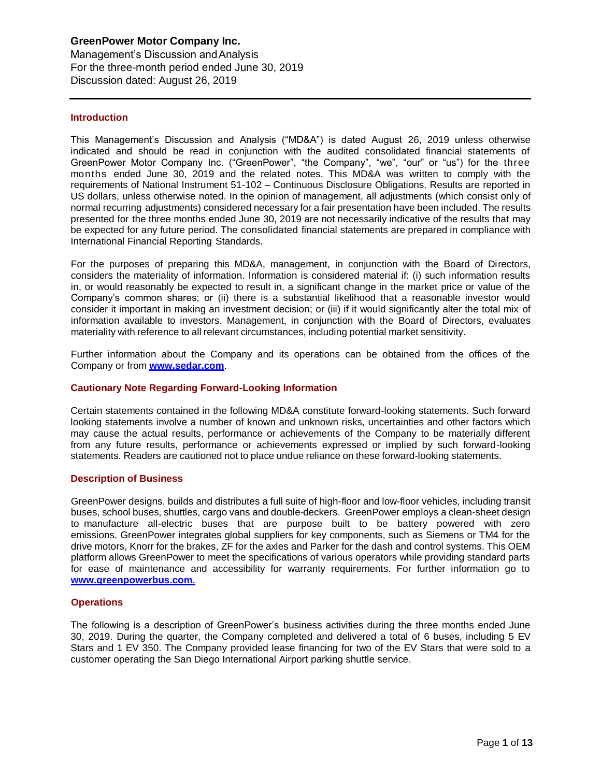Management's Discussion andAnalysis For the three-month period ended June 30, 2019 Discussion dated: August 26, 2019

#### **Introduction**

This Management's Discussion and Analysis ("MD&A") is dated August 26, 2019 unless otherwise indicated and should be read in conjunction with the audited consolidated financial statements of GreenPower Motor Company Inc. ("GreenPower", "the Company", "we", "our" or "us") for the three months ended June 30, 2019 and the related notes. This MD&A was written to comply with the requirements of National Instrument 51-102 – Continuous Disclosure Obligations. Results are reported in US dollars, unless otherwise noted. In the opinion of management, all adjustments (which consist only of normal recurring adjustments) considered necessary for a fair presentation have been included. The results presented for the three months ended June 30, 2019 are not necessarily indicative of the results that may be expected for any future period. The consolidated financial statements are prepared in compliance with International Financial Reporting Standards.

For the purposes of preparing this MD&A, management, in conjunction with the Board of Directors, considers the materiality of information. Information is considered material if: (i) such information results in, or would reasonably be expected to result in, a significant change in the market price or value of the Company's common shares; or (ii) there is a substantial likelihood that a reasonable investor would consider it important in making an investment decision; or (iii) if it would significantly alter the total mix of information available to investors. Management, in conjunction with the Board of Directors, evaluates materiality with reference to all relevant circumstances, including potential market sensitivity.

Further information about the Company and its operations can be obtained from the offices of the Company or from **[www.sedar.com](http://www.sedar.com/)**.

### **Cautionary Note Regarding Forward-Looking Information**

Certain statements contained in the following MD&A constitute forward-looking statements. Such forward looking statements involve a number of known and unknown risks, uncertainties and other factors which may cause the actual results, performance or achievements of the Company to be materially different from any future results, performance or achievements expressed or implied by such forward-looking statements. Readers are cautioned not to place undue reliance on these forward-looking statements.

#### **Description of Business**

GreenPower designs, builds and distributes a full suite of high-floor and low-floor vehicles, including transit buses, school buses, shuttles, cargo vans and double-deckers. GreenPower employs a clean-sheet design to manufacture all-electric buses that are purpose built to be battery powered with zero emissions. GreenPower integrates global suppliers for key components, such as Siemens or TM4 for the drive motors, Knorr for the brakes, ZF for the axles and Parker for the dash and control systems. This OEM platform allows GreenPower to meet the specifications of various operators while providing standard parts for ease of maintenance and accessibility for warranty requirements. For further information go to **[www.greenpowerbus.com.](http://www.greenpowerbus.com/)**

#### **Operations**

The following is a description of GreenPower's business activities during the three months ended June 30, 2019. During the quarter, the Company completed and delivered a total of 6 buses, including 5 EV Stars and 1 EV 350. The Company provided lease financing for two of the EV Stars that were sold to a customer operating the San Diego International Airport parking shuttle service.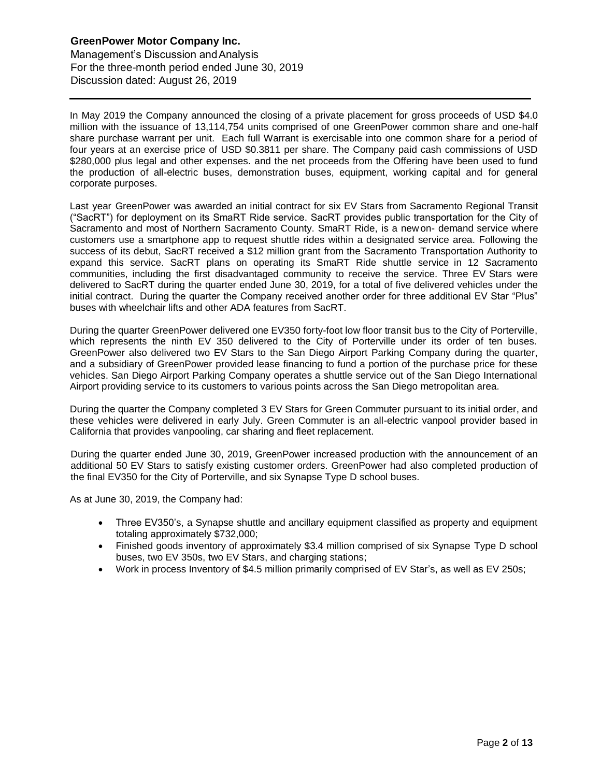Management's Discussion andAnalysis For the three-month period ended June 30, 2019 Discussion dated: August 26, 2019

In May 2019 the Company announced the closing of a private placement for gross proceeds of USD \$4.0 million with the issuance of 13,114,754 units comprised of one GreenPower common share and one-half share purchase warrant per unit. Each full Warrant is exercisable into one common share for a period of four years at an exercise price of USD \$0.3811 per share. The Company paid cash commissions of USD \$280,000 plus legal and other expenses. and the net proceeds from the Offering have been used to fund the production of all-electric buses, demonstration buses, equipment, working capital and for general corporate purposes.

Last year GreenPower was awarded an initial contract for six EV Stars from Sacramento Regional Transit ("SacRT") for deployment on its SmaRT Ride service. SacRT provides public transportation for the City of Sacramento and most of Northern Sacramento County. SmaRT Ride, is a newon- demand service where customers use a smartphone app to request shuttle rides within a designated service area. Following the success of its debut, SacRT received a \$12 million grant from the Sacramento Transportation Authority to expand this service. SacRT plans on operating its SmaRT Ride shuttle service in 12 Sacramento communities, including the first disadvantaged community to receive the service. Three EV Stars were delivered to SacRT during the quarter ended June 30, 2019, for a total of five delivered vehicles under the initial contract. During the quarter the Company received another order for three additional EV Star "Plus" buses with wheelchair lifts and other ADA features from SacRT.

During the quarter GreenPower delivered one EV350 forty-foot low floor transit bus to the City of Porterville, which represents the ninth EV 350 delivered to the City of Porterville under its order of ten buses. GreenPower also delivered two EV Stars to the San Diego Airport Parking Company during the quarter, and a subsidiary of GreenPower provided lease financing to fund a portion of the purchase price for these vehicles. San Diego Airport Parking Company operates a shuttle service out of the San Diego International Airport providing service to its customers to various points across the San Diego metropolitan area.

During the quarter the Company completed 3 EV Stars for Green Commuter pursuant to its initial order, and these vehicles were delivered in early July. Green Commuter is an all-electric vanpool provider based in California that provides vanpooling, car sharing and fleet replacement.

During the quarter ended June 30, 2019, GreenPower increased production with the announcement of an additional 50 EV Stars to satisfy existing customer orders. GreenPower had also completed production of the final EV350 for the City of Porterville, and six Synapse Type D school buses.

As at June 30, 2019, the Company had:

- Three EV350's, a Synapse shuttle and ancillary equipment classified as property and equipment totaling approximately \$732,000;
- Finished goods inventory of approximately \$3.4 million comprised of six Synapse Type D school buses, two EV 350s, two EV Stars, and charging stations;
- Work in process Inventory of \$4.5 million primarily comprised of EV Star's, as well as EV 250s;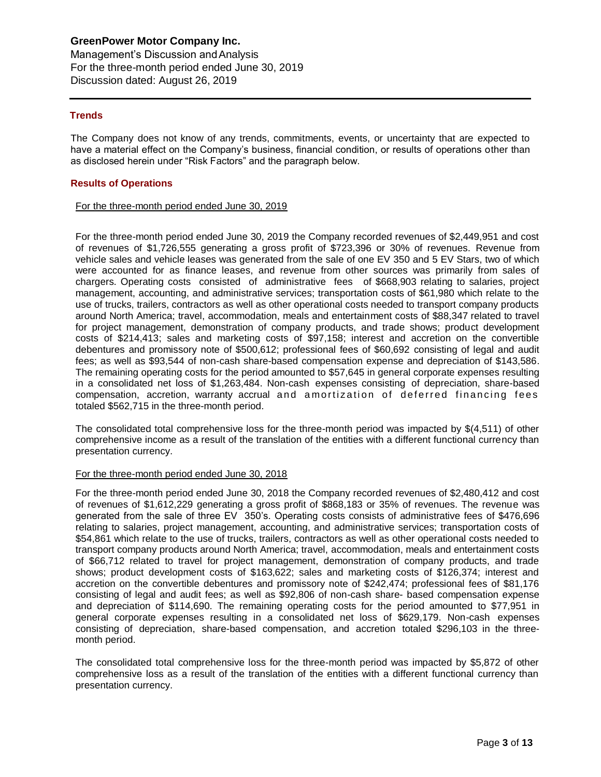Management's Discussion andAnalysis For the three-month period ended June 30, 2019 Discussion dated: August 26, 2019

### **Trends**

The Company does not know of any trends, commitments, events, or uncertainty that are expected to have a material effect on the Company's business, financial condition, or results of operations other than as disclosed herein under "Risk Factors" and the paragraph below.

#### **Results of Operations**

#### For the three-month period ended June 30, 2019

For the three-month period ended June 30, 2019 the Company recorded revenues of \$2,449,951 and cost of revenues of \$1,726,555 generating a gross profit of \$723,396 or 30% of revenues. Revenue from vehicle sales and vehicle leases was generated from the sale of one EV 350 and 5 EV Stars, two of which were accounted for as finance leases, and revenue from other sources was primarily from sales of chargers. Operating costs consisted of administrative fees of \$668,903 relating to salaries, project management, accounting, and administrative services; transportation costs of \$61,980 which relate to the use of trucks, trailers, contractors as well as other operational costs needed to transport company products around North America; travel, accommodation, meals and entertainment costs of \$88,347 related to travel for project management, demonstration of company products, and trade shows; product development costs of \$214,413; sales and marketing costs of \$97,158; interest and accretion on the convertible debentures and promissory note of \$500,612; professional fees of \$60,692 consisting of legal and audit fees; as well as \$93,544 of non-cash share-based compensation expense and depreciation of \$143,586. The remaining operating costs for the period amounted to \$57,645 in general corporate expenses resulting in a consolidated net loss of \$1,263,484. Non-cash expenses consisting of depreciation, share-based compensation, accretion, warranty accrual and a mortization of deferred financing fees totaled \$562,715 in the three-month period.

The consolidated total comprehensive loss for the three-month period was impacted by \$(4,511) of other comprehensive income as a result of the translation of the entities with a different functional currency than presentation currency.

#### For the three-month period ended June 30, 2018

For the three-month period ended June 30, 2018 the Company recorded revenues of \$2,480,412 and cost of revenues of \$1,612,229 generating a gross profit of \$868,183 or 35% of revenues. The revenue was generated from the sale of three EV 350's. Operating costs consists of administrative fees of \$476,696 relating to salaries, project management, accounting, and administrative services; transportation costs of \$54,861 which relate to the use of trucks, trailers, contractors as well as other operational costs needed to transport company products around North America; travel, accommodation, meals and entertainment costs of \$66,712 related to travel for project management, demonstration of company products, and trade shows; product development costs of \$163,622; sales and marketing costs of \$126,374; interest and accretion on the convertible debentures and promissory note of \$242,474; professional fees of \$81,176 consisting of legal and audit fees; as well as \$92,806 of non-cash share- based compensation expense and depreciation of \$114,690. The remaining operating costs for the period amounted to \$77,951 in general corporate expenses resulting in a consolidated net loss of \$629,179. Non-cash expenses consisting of depreciation, share-based compensation, and accretion totaled \$296,103 in the threemonth period.

The consolidated total comprehensive loss for the three-month period was impacted by \$5,872 of other comprehensive loss as a result of the translation of the entities with a different functional currency than presentation currency.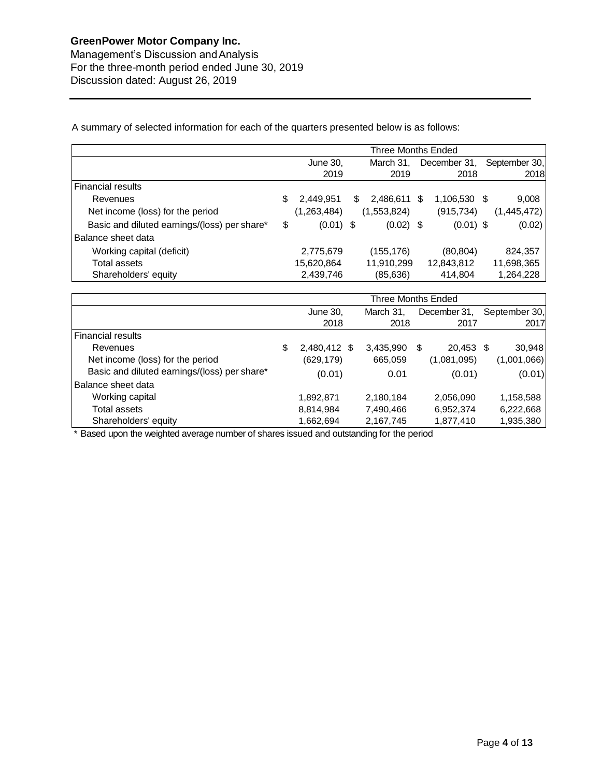Management's Discussion andAnalysis For the three-month period ended June 30, 2019 Discussion dated: August 26, 2019

A summary of selected information for each of the quarters presented below is as follows:

|                                              | Three Months Ended |               |    |             |     |              |    |               |  |  |
|----------------------------------------------|--------------------|---------------|----|-------------|-----|--------------|----|---------------|--|--|
|                                              |                    | June 30,      |    | March 31,   |     | December 31, |    | September 30, |  |  |
|                                              |                    | 2019          |    | 2019        |     | 2018         |    | 2018          |  |  |
| <b>Financial results</b>                     |                    |               |    |             |     |              |    |               |  |  |
| Revenues                                     | S                  | 2,449,951     | S. | 2,486,611   | \$. | 1,106,530    | -S | 9,008         |  |  |
| Net income (loss) for the period             |                    | (1, 263, 484) |    | (1,553,824) |     | (915, 734)   |    | (1,445,472)   |  |  |
| Basic and diluted earnings/(loss) per share* | \$                 | $(0.01)$ \$   |    | $(0.02)$ \$ |     | $(0.01)$ \$  |    | (0.02)        |  |  |
| Balance sheet data                           |                    |               |    |             |     |              |    |               |  |  |
| Working capital (deficit)                    |                    | 2,775,679     |    | (155, 176)  |     | (80, 804)    |    | 824,357       |  |  |
| Total assets                                 |                    | 15,620,864    |    | 11,910,299  |     | 12,843,812   |    | 11,698,365    |  |  |
| Shareholders' equity                         |                    | 2,439,746     |    | (85, 636)   |     | 414,804      |    | 1,264,228     |  |  |

|                                              | Three Months Ended |  |           |    |              |  |               |  |  |  |
|----------------------------------------------|--------------------|--|-----------|----|--------------|--|---------------|--|--|--|
|                                              | June 30,           |  | March 31. |    | December 31, |  | September 30, |  |  |  |
|                                              | 2018               |  | 2018      |    | 2017         |  | 2017          |  |  |  |
| <b>Financial results</b>                     |                    |  |           |    |              |  |               |  |  |  |
| Revenues                                     | \$<br>2,480,412 \$ |  | 3,435,990 | \$ | 20,453 \$    |  | 30,948        |  |  |  |
| Net income (loss) for the period             | (629, 179)         |  | 665,059   |    | (1,081,095)  |  | (1,001,066)   |  |  |  |
| Basic and diluted earnings/(loss) per share* | (0.01)             |  | 0.01      |    | (0.01)       |  | (0.01)        |  |  |  |
| Balance sheet data                           |                    |  |           |    |              |  |               |  |  |  |
| Working capital                              | 1,892,871          |  | 2,180,184 |    | 2,056,090    |  | 1,158,588     |  |  |  |
| Total assets                                 | 8,814,984          |  | 7,490,466 |    | 6,952,374    |  | 6,222,668     |  |  |  |
| Shareholders' equity                         | 1,662,694          |  | 2,167,745 |    | 1,877,410    |  | 1,935,380     |  |  |  |

\* Based upon the weighted average number of shares issued and outstanding for the period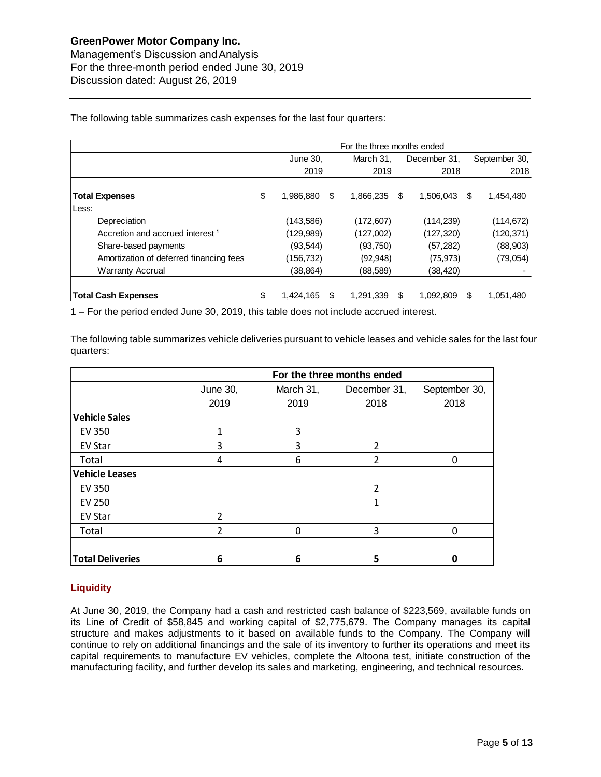|                                             |                       |            |      | For the three months ended |   |               |
|---------------------------------------------|-----------------------|------------|------|----------------------------|---|---------------|
|                                             | June 30,              | March 31.  |      | December 31.               |   | September 30, |
|                                             | 2019                  |            | 2019 | 2018                       |   | 2018          |
| <b>Total Expenses</b><br>Less:              | \$<br>\$<br>1,986,880 | 1,866,235  | \$   | 1,506,043                  | S | 1,454,480     |
| Depreciation                                | (143,586)             | (172, 607) |      | (114, 239)                 |   | (114, 672)    |
| Accretion and accrued interest <sup>1</sup> | (129,989)             | (127,002)  |      | (127, 320)                 |   | (120, 371)    |
| Share-based payments                        | (93, 544)             | (93,750)   |      | (57, 282)                  |   | (88,903)      |
| Amortization of deferred financing fees     | (156,732)             | (92, 948)  |      | (75, 973)                  |   | (79, 054)     |
| <b>Warranty Accrual</b>                     | (38, 864)             | (88,589)   |      | (38, 420)                  |   |               |
| <b>Total Cash Expenses</b>                  | \$<br>1,424,165<br>\$ | 1,291,339  | S    | 1,092,809                  |   | 1,051,480     |

The following table summarizes cash expenses for the last four quarters:

1 – For the period ended June 30, 2019, this table does not include accrued interest.

The following table summarizes vehicle deliveries pursuant to vehicle leases and vehicle sales for the last four quarters:

|                         | For the three months ended |           |              |               |  |  |  |  |  |  |  |  |
|-------------------------|----------------------------|-----------|--------------|---------------|--|--|--|--|--|--|--|--|
|                         | June 30,                   | March 31, | December 31, | September 30, |  |  |  |  |  |  |  |  |
|                         | 2019                       | 2019      | 2018         | 2018          |  |  |  |  |  |  |  |  |
| <b>Vehicle Sales</b>    |                            |           |              |               |  |  |  |  |  |  |  |  |
| <b>EV 350</b>           | 1                          | 3         |              |               |  |  |  |  |  |  |  |  |
| EV Star                 | 3                          | 3         | 2            |               |  |  |  |  |  |  |  |  |
| Total                   | 4                          | 6         | 2            | 0             |  |  |  |  |  |  |  |  |
| <b>Vehicle Leases</b>   |                            |           |              |               |  |  |  |  |  |  |  |  |
| <b>EV 350</b>           |                            |           | 2            |               |  |  |  |  |  |  |  |  |
| <b>EV 250</b>           |                            |           |              |               |  |  |  |  |  |  |  |  |
| <b>EV Star</b>          | $\mathcal{P}$              |           |              |               |  |  |  |  |  |  |  |  |
| Total                   | $\overline{2}$             | $\Omega$  | 3            | 0             |  |  |  |  |  |  |  |  |
|                         |                            |           |              |               |  |  |  |  |  |  |  |  |
| <b>Total Deliveries</b> | 6                          | 6         | 5            | Ω             |  |  |  |  |  |  |  |  |

### **Liquidity**

At June 30, 2019, the Company had a cash and restricted cash balance of \$223,569, available funds on its Line of Credit of \$58,845 and working capital of \$2,775,679. The Company manages its capital structure and makes adjustments to it based on available funds to the Company. The Company will continue to rely on additional financings and the sale of its inventory to further its operations and meet its capital requirements to manufacture EV vehicles, complete the Altoona test, initiate construction of the manufacturing facility, and further develop its sales and marketing, engineering, and technical resources.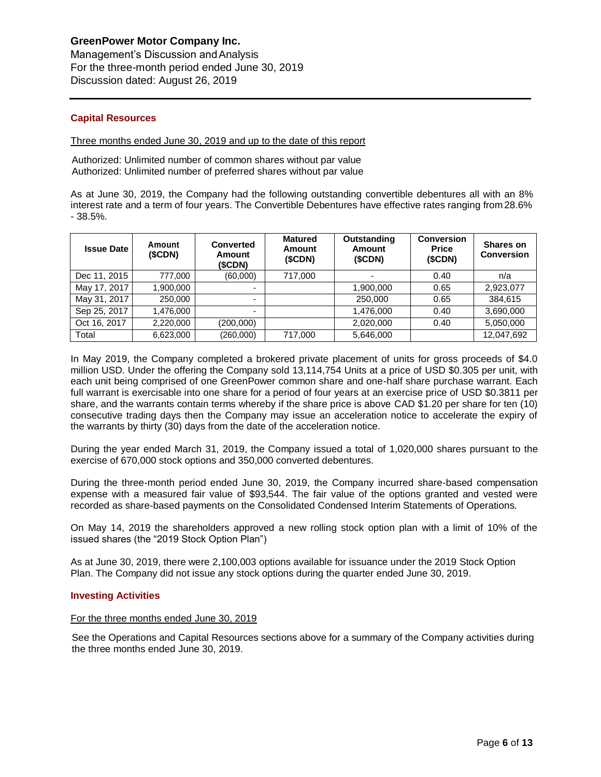Management's Discussion andAnalysis For the three-month period ended June 30, 2019 Discussion dated: August 26, 2019

### **Capital Resources**

#### Three months ended June 30, 2019 and up to the date of this report

Authorized: Unlimited number of common shares without par value Authorized: Unlimited number of preferred shares without par value

As at June 30, 2019, the Company had the following outstanding convertible debentures all with an 8% interest rate and a term of four years. The Convertible Debentures have effective rates ranging from 28.6% - 38.5%.

| <b>Issue Date</b> | Amount<br>(SCDN) | Converted<br><b>Amount</b><br>(SCDN) | <b>Matured</b><br><b>Amount</b><br>(SCDN) | Outstanding<br>Amount<br>(SCDN) | <b>Conversion</b><br><b>Price</b><br>(SCDN) | Shares on<br><b>Conversion</b> |
|-------------------|------------------|--------------------------------------|-------------------------------------------|---------------------------------|---------------------------------------------|--------------------------------|
| Dec 11, 2015      | 777.000          | (60,000)                             | 717,000                                   |                                 | 0.40                                        | n/a                            |
| May 17, 2017      | 1.900.000        | $\overline{\phantom{0}}$             |                                           | 1,900,000                       | 0.65                                        | 2,923,077                      |
| May 31, 2017      | 250.000          | $\overline{\phantom{0}}$             |                                           | 250,000                         | 0.65                                        | 384.615                        |
| Sep 25, 2017      | 1.476.000        | $\overline{\phantom{0}}$             |                                           | 1,476,000                       | 0.40                                        | 3,690,000                      |
| Oct 16, 2017      | 2,220,000        | (200,000)                            |                                           | 2,020,000                       | 0.40                                        | 5,050,000                      |
| Total             | 6,623,000        | (260,000)                            | 717.000                                   | 5,646,000                       |                                             | 12,047,692                     |

In May 2019, the Company completed a brokered private placement of units for gross proceeds of \$4.0 million USD. Under the offering the Company sold 13,114,754 Units at a price of USD \$0.305 per unit, with each unit being comprised of one GreenPower common share and one-half share purchase warrant. Each full warrant is exercisable into one share for a period of four years at an exercise price of USD \$0.3811 per share, and the warrants contain terms whereby if the share price is above CAD \$1.20 per share for ten (10) consecutive trading days then the Company may issue an acceleration notice to accelerate the expiry of the warrants by thirty (30) days from the date of the acceleration notice.

During the year ended March 31, 2019, the Company issued a total of 1,020,000 shares pursuant to the exercise of 670,000 stock options and 350,000 converted debentures.

During the three-month period ended June 30, 2019, the Company incurred share-based compensation expense with a measured fair value of \$93,544. The fair value of the options granted and vested were recorded as share-based payments on the Consolidated Condensed Interim Statements of Operations.

On May 14, 2019 the shareholders approved a new rolling stock option plan with a limit of 10% of the issued shares (the "2019 Stock Option Plan")

As at June 30, 2019, there were 2,100,003 options available for issuance under the 2019 Stock Option Plan. The Company did not issue any stock options during the quarter ended June 30, 2019.

#### **Investing Activities**

#### For the three months ended June 30, 2019

See the Operations and Capital Resources sections above for a summary of the Company activities during the three months ended June 30, 2019.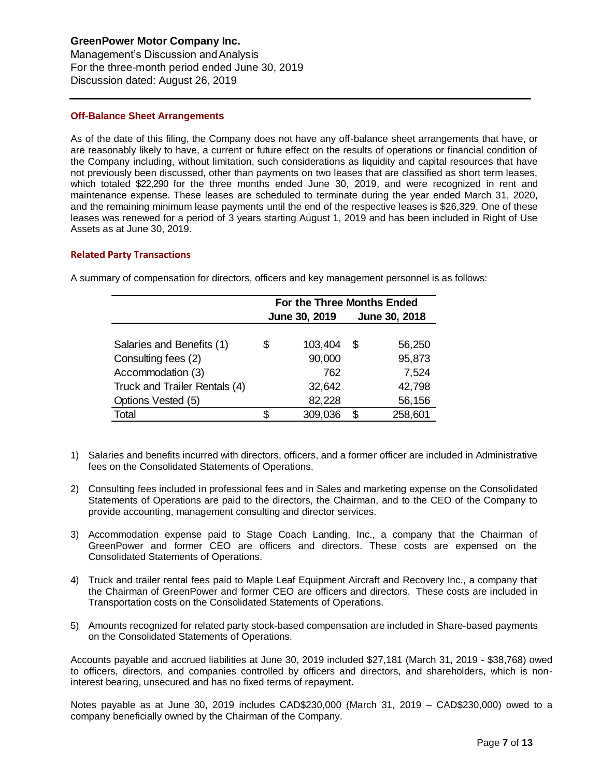Management's Discussion andAnalysis For the three-month period ended June 30, 2019 Discussion dated: August 26, 2019

### **Off-Balance Sheet Arrangements**

As of the date of this filing, the Company does not have any off-balance sheet arrangements that have, or are reasonably likely to have, a current or future effect on the results of operations or financial condition of the Company including, without limitation, such considerations as liquidity and capital resources that have not previously been discussed, other than payments on two leases that are classified as short term leases, which totaled \$22,290 for the three months ended June 30, 2019, and were recognized in rent and maintenance expense. These leases are scheduled to terminate during the year ended March 31, 2020, and the remaining minimum lease payments until the end of the respective leases is \$26,329. One of these leases was renewed for a period of 3 years starting August 1, 2019 and has been included in Right of Use Assets as at June 30, 2019.

### **Related Party Transactions**

|    |                                                                                                                                                                                                                                                 | For the Three Months Ended |         |    |               |
|----|-------------------------------------------------------------------------------------------------------------------------------------------------------------------------------------------------------------------------------------------------|----------------------------|---------|----|---------------|
|    |                                                                                                                                                                                                                                                 | June 30, 2019              |         |    | June 30, 2018 |
|    |                                                                                                                                                                                                                                                 |                            |         |    |               |
|    | Salaries and Benefits (1)                                                                                                                                                                                                                       | \$                         | 103,404 | \$ | 56,250        |
|    | Consulting fees (2)                                                                                                                                                                                                                             |                            | 90,000  |    | 95,873        |
|    | Accommodation (3)                                                                                                                                                                                                                               |                            | 762     |    | 7,524         |
|    | Truck and Trailer Rentals (4)                                                                                                                                                                                                                   |                            | 32,642  |    | 42,798        |
|    | Options Vested (5)                                                                                                                                                                                                                              |                            | 82,228  |    | 56,156        |
|    | Total                                                                                                                                                                                                                                           | \$                         | 309,036 | \$ | 258,601       |
|    |                                                                                                                                                                                                                                                 |                            |         |    |               |
| 1) | Salaries and benefits incurred with directors, officers, and a former officer are incl<br>fees on the Consolidated Statements of Operations.                                                                                                    |                            |         |    |               |
| 2) | Consulting fees included in professional fees and in Sales and marketing expens<br>Statements of Operations are paid to the directors, the Chairman, and to the CE<br>provide accounting, management consulting and director services.          |                            |         |    |               |
| 3) | Accommodation expense paid to Stage Coach Landing, Inc., a company t<br>GreenPower and former CEO are officers and directors. These costs a<br><b>Consolidated Statements of Operations.</b>                                                    |                            |         |    |               |
| 4) | Truck and trailer rental fees paid to Maple Leaf Equipment Aircraft and Recover<br>the Chairman of GreenPower and former CEO are officers and directors. These<br>Transportation costs on the Consolidated Statements of Operations.            |                            |         |    |               |
| 5) | Amounts recognized for related party stock-based compensation are included in S<br>on the Consolidated Statements of Operations.                                                                                                                |                            |         |    |               |
|    | Accounts payable and accrued liabilities at June 30, 2019 included \$27,181 (March :<br>to officers, directors, and companies controlled by officers and directors, and sha<br>interest bearing, unsecured and has no fixed terms of repayment. |                            |         |    |               |
|    | Notes payable as at June 30, 2019 includes CAD\$230,000 (March 31, 2019 - 0<br>company beneficially owned by the Chairman of the Company.                                                                                                       |                            |         |    |               |

A summary of compensation for directors, officers and key management personnel is as follows:

- 1) Salaries and benefits incurred with directors, officers, and a former officer are included in Administrative fees on the Consolidated Statements of Operations.
- 2) Consulting fees included in professional fees and in Sales and marketing expense on the Consolidated Statements of Operations are paid to the directors, the Chairman, and to the CEO of the Company to provide accounting, management consulting and director services.
- 3) Accommodation expense paid to Stage Coach Landing, Inc., a company that the Chairman of GreenPower and former CEO are officers and directors. These costs are expensed on the Consolidated Statements of Operations.
- 4) Truck and trailer rental fees paid to Maple Leaf Equipment Aircraft and Recovery Inc., a company that the Chairman of GreenPower and former CEO are officers and directors. These costs are included in Transportation costs on the Consolidated Statements of Operations.
- 5) Amounts recognized for related party stock-based compensation are included in Share-based payments on the Consolidated Statements of Operations.

Accounts payable and accrued liabilities at June 30, 2019 included \$27,181 (March 31, 2019 - \$38,768) owed to officers, directors, and companies controlled by officers and directors, and shareholders, which is noninterest bearing, unsecured and has no fixed terms of repayment.

Notes payable as at June 30, 2019 includes CAD\$230,000 (March 31, 2019 – CAD\$230,000) owed to a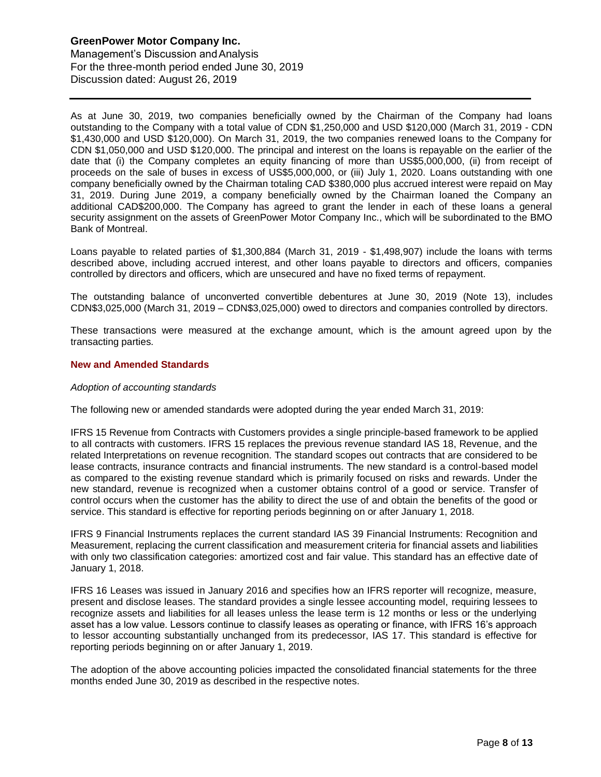Management's Discussion andAnalysis For the three-month period ended June 30, 2019 Discussion dated: August 26, 2019

As at June 30, 2019, two companies beneficially owned by the Chairman of the Company had loans outstanding to the Company with a total value of CDN \$1,250,000 and USD \$120,000 (March 31, 2019 - CDN \$1,430,000 and USD \$120,000). On March 31, 2019, the two companies renewed loans to the Company for CDN \$1,050,000 and USD \$120,000. The principal and interest on the loans is repayable on the earlier of the date that (i) the Company completes an equity financing of more than US\$5,000,000, (ii) from receipt of proceeds on the sale of buses in excess of US\$5,000,000, or (iii) July 1, 2020. Loans outstanding with one company beneficially owned by the Chairman totaling CAD \$380,000 plus accrued interest were repaid on May 31, 2019. During June 2019, a company beneficially owned by the Chairman loaned the Company an additional CAD\$200,000. The Company has agreed to grant the lender in each of these loans a general security assignment on the assets of GreenPower Motor Company Inc., which will be subordinated to the BMO Bank of Montreal.

Loans payable to related parties of \$1,300,884 (March 31, 2019 - \$1,498,907) include the loans with terms described above, including accrued interest, and other loans payable to directors and officers, companies controlled by directors and officers, which are unsecured and have no fixed terms of repayment.

The outstanding balance of unconverted convertible debentures at June 30, 2019 (Note 13), includes CDN\$3,025,000 (March 31, 2019 – CDN\$3,025,000) owed to directors and companies controlled by directors.

These transactions were measured at the exchange amount, which is the amount agreed upon by the transacting parties.

### **New and Amended Standards**

#### *Adoption of accounting standards*

The following new or amended standards were adopted during the year ended March 31, 2019:

IFRS 15 Revenue from Contracts with Customers provides a single principle-based framework to be applied to all contracts with customers. IFRS 15 replaces the previous revenue standard IAS 18, Revenue, and the related Interpretations on revenue recognition. The standard scopes out contracts that are considered to be lease contracts, insurance contracts and financial instruments. The new standard is a control-based model as compared to the existing revenue standard which is primarily focused on risks and rewards. Under the new standard, revenue is recognized when a customer obtains control of a good or service. Transfer of control occurs when the customer has the ability to direct the use of and obtain the benefits of the good or service. This standard is effective for reporting periods beginning on or after January 1, 2018.

IFRS 9 Financial Instruments replaces the current standard IAS 39 Financial Instruments: Recognition and Measurement, replacing the current classification and measurement criteria for financial assets and liabilities with only two classification categories: amortized cost and fair value. This standard has an effective date of January 1, 2018.

IFRS 16 Leases was issued in January 2016 and specifies how an IFRS reporter will recognize, measure, present and disclose leases. The standard provides a single lessee accounting model, requiring lessees to recognize assets and liabilities for all leases unless the lease term is 12 months or less or the underlying asset has a low value. Lessors continue to classify leases as operating or finance, with IFRS 16's approach to lessor accounting substantially unchanged from its predecessor, IAS 17. This standard is effective for reporting periods beginning on or after January 1, 2019.

The adoption of the above accounting policies impacted the consolidated financial statements for the three months ended June 30, 2019 as described in the respective notes.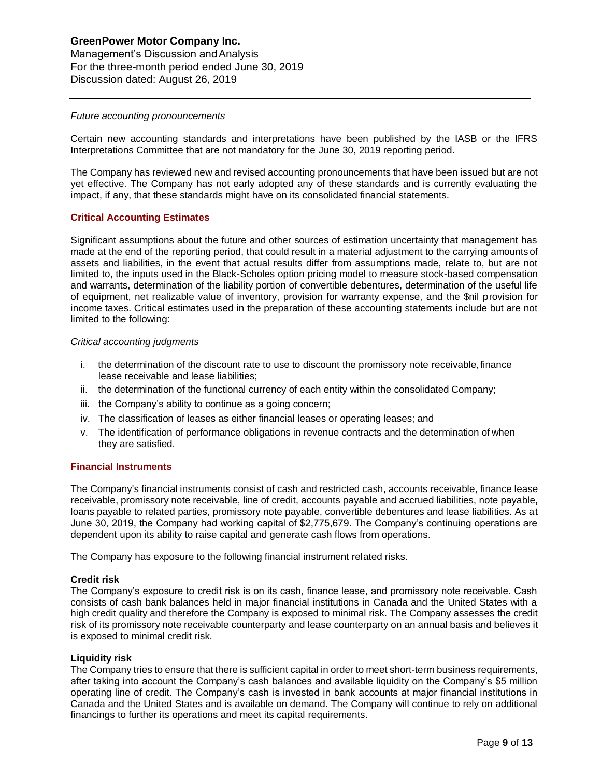## **GreenPower Motor Company Inc.**  Management's Discussion andAnalysis For the three-month period ended June 30, 2019

Discussion dated: August 26, 2019

#### *Future accounting pronouncements*

Certain new accounting standards and interpretations have been published by the IASB or the IFRS Interpretations Committee that are not mandatory for the June 30, 2019 reporting period.

The Company has reviewed new and revised accounting pronouncements that have been issued but are not yet effective. The Company has not early adopted any of these standards and is currently evaluating the impact, if any, that these standards might have on its consolidated financial statements.

#### **Critical Accounting Estimates**

Significant assumptions about the future and other sources of estimation uncertainty that management has made at the end of the reporting period, that could result in a material adjustment to the carrying amountsof assets and liabilities, in the event that actual results differ from assumptions made, relate to, but are not limited to, the inputs used in the Black-Scholes option pricing model to measure stock-based compensation and warrants, determination of the liability portion of convertible debentures, determination of the useful life of equipment, net realizable value of inventory, provision for warranty expense, and the \$nil provision for income taxes. Critical estimates used in the preparation of these accounting statements include but are not limited to the following:

#### *Critical accounting judgments*

- i. the determination of the discount rate to use to discount the promissory note receivable,finance lease receivable and lease liabilities;
- ii. the determination of the functional currency of each entity within the consolidated Company;
- iii. the Company's ability to continue as a going concern;
- iv. The classification of leases as either financial leases or operating leases; and
- v. The identification of performance obligations in revenue contracts and the determination of when they are satisfied.

#### **Financial Instruments**

The Company's financial instruments consist of cash and restricted cash, accounts receivable, finance lease receivable, promissory note receivable, line of credit, accounts payable and accrued liabilities, note payable, loans payable to related parties, promissory note payable, convertible debentures and lease liabilities. As at June 30, 2019, the Company had working capital of \$2,775,679. The Company's continuing operations are dependent upon its ability to raise capital and generate cash flows from operations.

The Company has exposure to the following financial instrument related risks.

#### **Credit risk**

The Company's exposure to credit risk is on its cash, finance lease, and promissory note receivable. Cash consists of cash bank balances held in major financial institutions in Canada and the United States with a high credit quality and therefore the Company is exposed to minimal risk. The Company assesses the credit risk of its promissory note receivable counterparty and lease counterparty on an annual basis and believes it is exposed to minimal credit risk.

#### **Liquidity risk**

The Company tries to ensure that there is sufficient capital in order to meet short-term business requirements, after taking into account the Company's cash balances and available liquidity on the Company's \$5 million operating line of credit. The Company's cash is invested in bank accounts at major financial institutions in Canada and the United States and is available on demand. The Company will continue to rely on additional financings to further its operations and meet its capital requirements.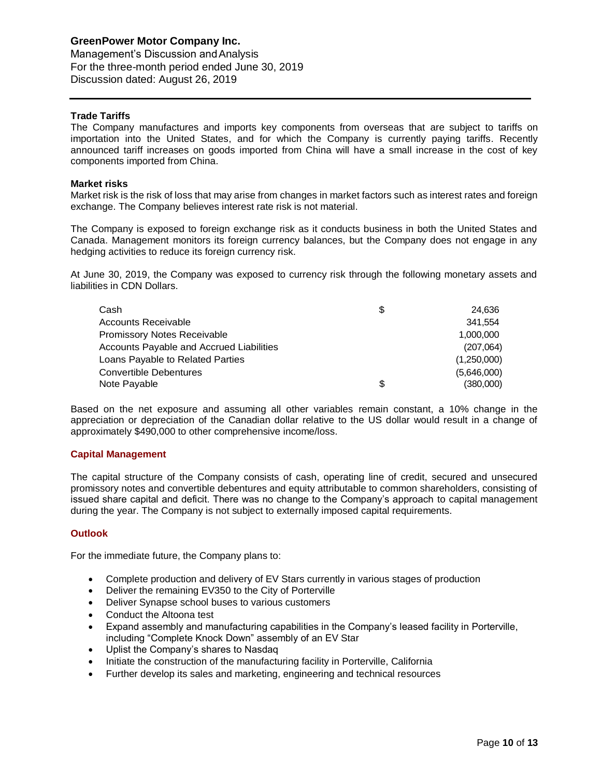Management's Discussion andAnalysis For the three-month period ended June 30, 2019 Discussion dated: August 26, 2019

### **Trade Tariffs**

The Company manufactures and imports key components from overseas that are subject to tariffs on importation into the United States, and for which the Company is currently paying tariffs. Recently announced tariff increases on goods imported from China will have a small increase in the cost of key components imported from China.

#### **Market risks**

Market risk is the risk of loss that may arise from changes in market factors such as interest rates and foreign exchange. The Company believes interest rate risk is not material.

The Company is exposed to foreign exchange risk as it conducts business in both the United States and Canada. Management monitors its foreign currency balances, but the Company does not engage in any hedging activities to reduce its foreign currency risk.

At June 30, 2019, the Company was exposed to currency risk through the following monetary assets and liabilities in CDN Dollars.

| Cash                                     | S  | 24.636      |
|------------------------------------------|----|-------------|
| Accounts Receivable                      |    | 341.554     |
| <b>Promissory Notes Receivable</b>       |    | 1.000.000   |
| Accounts Payable and Accrued Liabilities |    | (207,064)   |
| Loans Payable to Related Parties         |    | (1,250,000) |
| <b>Convertible Debentures</b>            |    | (5,646,000) |
| Note Payable                             | \$ | (380,000)   |

Based on the net exposure and assuming all other variables remain constant, a 10% change in the appreciation or depreciation of the Canadian dollar relative to the US dollar would result in a change of approximately \$490,000 to other comprehensive income/loss.

#### **Capital Management**

The capital structure of the Company consists of cash, operating line of credit, secured and unsecured promissory notes and convertible debentures and equity attributable to common shareholders, consisting of issued share capital and deficit. There was no change to the Company's approach to capital management during the year. The Company is not subject to externally imposed capital requirements.

#### **Outlook**

For the immediate future, the Company plans to:

- Complete production and delivery of EV Stars currently in various stages of production
- Deliver the remaining EV350 to the City of Porterville
- Deliver Synapse school buses to various customers
- Conduct the Altoona test
- Expand assembly and manufacturing capabilities in the Company's leased facility in Porterville, including "Complete Knock Down" assembly of an EV Star
- Uplist the Company's shares to Nasdaq
- Initiate the construction of the manufacturing facility in Porterville, California
- Further develop its sales and marketing, engineering and technical resources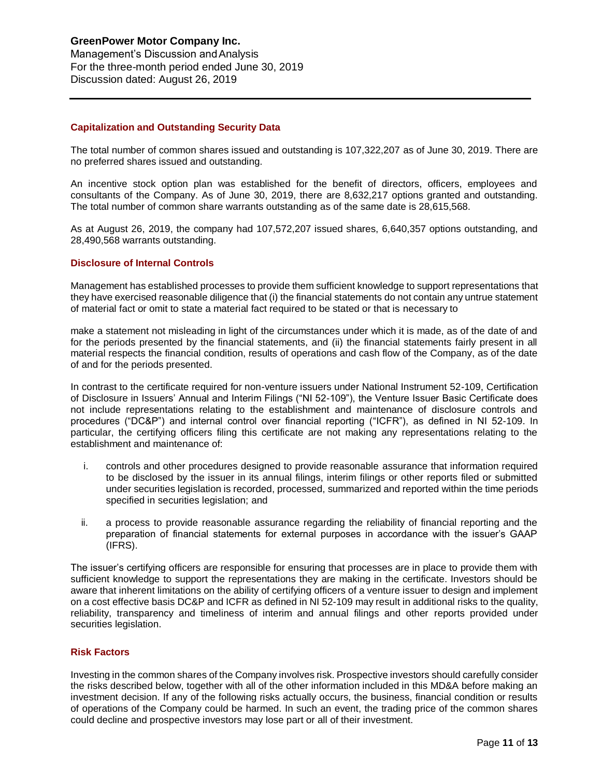### **GreenPower Motor Company Inc.**  Management's Discussion andAnalysis For the three-month period ended June 30, 2019 Discussion dated: August 26, 2019

### **Capitalization and Outstanding Security Data**

The total number of common shares issued and outstanding is 107,322,207 as of June 30, 2019. There are no preferred shares issued and outstanding.

An incentive stock option plan was established for the benefit of directors, officers, employees and consultants of the Company. As of June 30, 2019, there are 8,632,217 options granted and outstanding. The total number of common share warrants outstanding as of the same date is 28,615,568.

As at August 26, 2019, the company had 107,572,207 issued shares, 6,640,357 options outstanding, and 28,490,568 warrants outstanding.

#### **Disclosure of Internal Controls**

Management has established processes to provide them sufficient knowledge to support representations that theyhave exercised reasonable diligence that (i) the financial statements do not contain anyuntrue statement of material fact or omit to state a material fact required to be stated or that is necessary to

make a statement not misleading in light of the circumstances under which it is made, as of the date of and for the periods presented by the financial statements, and (ii) the financial statements fairly present in all material respects the financial condition, results of operations and cash flow of the Company, as of the date of and for the periods presented.

In contrast to the certificate required for non-venture issuers under National Instrument 52-109, Certification of Disclosure in Issuers' Annual and Interim Filings ("NI 52-109"), the Venture Issuer Basic Certificate does not include representations relating to the establishment and maintenance of disclosure controls and procedures ("DC&P") and internal control over financial reporting ("ICFR"), as defined in NI 52-109. In particular, the certifying officers filing this certificate are not making any representations relating to the establishment and maintenance of:

- i. controls and other procedures designed to provide reasonable assurance that information required to be disclosed by the issuer in its annual filings, interim filings or other reports filed or submitted under securities legislation is recorded, processed, summarized and reported within the time periods specified in securities legislation; and
- ii. a process to provide reasonable assurance regarding the reliability of financial reporting and the preparation of financial statements for external purposes in accordance with the issuer's GAAP (IFRS).

The issuer's certifying officers are responsible for ensuring that processes are in place to provide them with sufficient knowledge to support the representations they are making in the certificate. Investors should be aware that inherent limitations on the ability of certifying officers of a venture issuer to design and implement on a cost effective basis DC&P and ICFR as defined in NI 52-109 may result in additional risks to the quality, reliability, transparency and timeliness of interim and annual filings and other reports provided under securities legislation.

#### **Risk Factors**

Investing in the common shares of the Company involves risk. Prospective investors should carefully consider the risks described below, together with all of the other information included in this MD&A before making an investment decision. If any of the following risks actually occurs, the business, financial condition or results of operations of the Company could be harmed. In such an event, the trading price of the common shares could decline and prospective investors may lose part or all of their investment.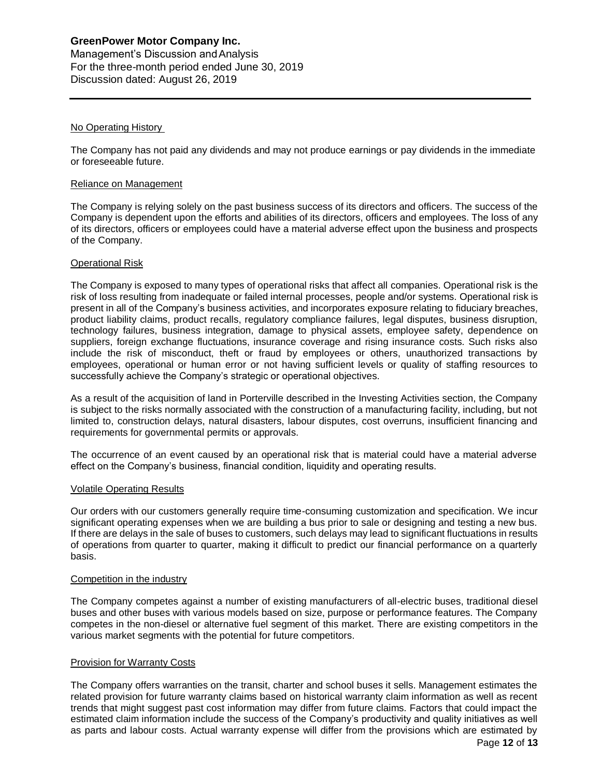Management's Discussion andAnalysis For the three-month period ended June 30, 2019 Discussion dated: August 26, 2019

#### No Operating History

The Company has not paid any dividends and may not produce earnings or pay dividends in the immediate or foreseeable future.

#### Reliance on Management

The Company is relying solely on the past business success of its directors and officers. The success of the Company is dependent upon the efforts and abilities of its directors, officers and employees. The loss of any of its directors, officers or employees could have a material adverse effect upon the business and prospects of the Company.

### Operational Risk

The Company is exposed to many types of operational risks that affect all companies. Operational risk is the risk of loss resulting from inadequate or failed internal processes, people and/or systems. Operational risk is present in all of the Company's business activities, and incorporates exposure relating to fiduciary breaches, product liability claims, product recalls, regulatory compliance failures, legal disputes, business disruption, technology failures, business integration, damage to physical assets, employee safety, dependence on suppliers, foreign exchange fluctuations, insurance coverage and rising insurance costs. Such risks also include the risk of misconduct, theft or fraud by employees or others, unauthorized transactions by employees, operational or human error or not having sufficient levels or quality of staffing resources to successfully achieve the Company's strategic or operational objectives.

As a result of the acquisition of land in Porterville described in the Investing Activities section, the Company is subject to the risks normally associated with the construction of a manufacturing facility, including, but not limited to, construction delays, natural disasters, labour disputes, cost overruns, insufficient financing and requirements for governmental permits or approvals.

The occurrence of an event caused by an operational risk that is material could have a material adverse effect on the Company's business, financial condition, liquidity and operating results.

#### Volatile Operating Results

Our orders with our customers generally require time-consuming customization and specification. We incur significant operating expenses when we are building a bus prior to sale or designing and testing a new bus. If there are delays in the sale of buses to customers, such delays may lead to significant fluctuations in results of operations from quarter to quarter, making it difficult to predict our financial performance on a quarterly basis.

#### Competition in the industry

The Company competes against a number of existing manufacturers of all-electric buses, traditional diesel buses and other buses with various models based on size, purpose or performance features. The Company competes in the non-diesel or alternative fuel segment of this market. There are existing competitors in the various market segments with the potential for future competitors.

#### Provision for Warranty Costs

The Company offers warranties on the transit, charter and school buses it sells. Management estimates the related provision for future warranty claims based on historical warranty claim information as well as recent trends that might suggest past cost information may differ from future claims. Factors that could impact the estimated claim information include the success of the Company's productivity and quality initiatives as well as parts and labour costs. Actual warranty expense will differ from the provisions which are estimated by